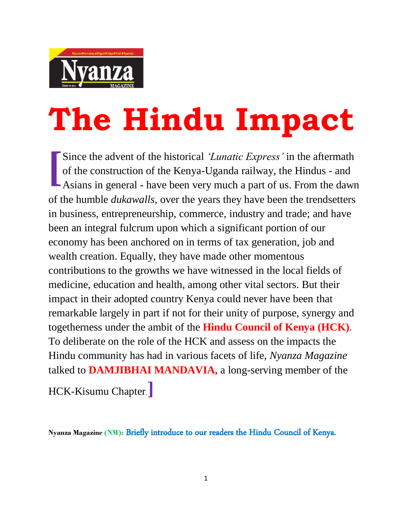

## **The Hindu Impact**

Since the advent of the historical *'Lunatic Express'* in the aftermath of the construction of the Kenya-Uganda railway, the Hindus - and Since the advent of the historical 'Lunatic Express' in the aftermath of the construction of the Kenya-Uganda railway, the Hindus - and Asians in general - have been very much a part of us. From the dawn of the humble *dukawalls*, over the years they have been the trendsetters in business, entrepreneurship, commerce, industry and trade; and have been an integral fulcrum upon which a significant portion of our economy has been anchored on in terms of tax generation, job and wealth creation. Equally, they have made other momentous contributions to the growths we have witnessed in the local fields of medicine, education and health, among other vital sectors. But their impact in their adopted country Kenya could never have been that remarkable largely in part if not for their unity of purpose, synergy and togetherness under the ambit of the **Hindu Council of Kenya (HCK)**. To deliberate on the role of the HCK and assess on the impacts the Hindu community has had in various facets of life, *Nyanza Magazine* talked to **DAMJIBHAI MANDAVIA,** a long-serving member of the

HCK-Kisumu Chapter.**]**

**Nyanza Magazine (NM):** Briefly introduce to our readers the Hindu Council of Kenya.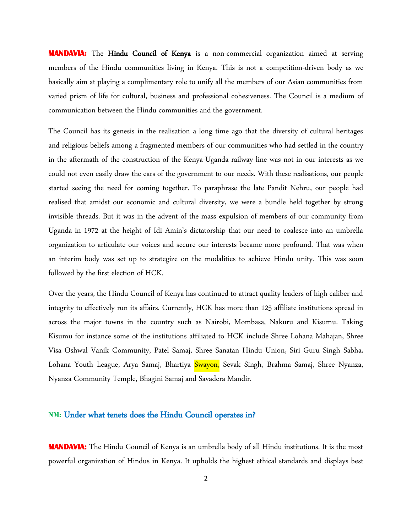**MANDAVIA:** The Hindu Council of Kenya is a non-commercial organization aimed at serving members of the Hindu communities living in Kenya. This is not a competition-driven body as we basically aim at playing a complimentary role to unify all the members of our Asian communities from varied prism of life for cultural, business and professional cohesiveness. The Council is a medium of communication between the Hindu communities and the government.

The Council has its genesis in the realisation a long time ago that the diversity of cultural heritages and religious beliefs among a fragmented members of our communities who had settled in the country in the aftermath of the construction of the Kenya-Uganda railway line was not in our interests as we could not even easily draw the ears of the government to our needs. With these realisations, our people started seeing the need for coming together. To paraphrase the late Pandit Nehru, our people had realised that amidst our economic and cultural diversity, we were a bundle held together by strong invisible threads. But it was in the advent of the mass expulsion of members of our community from Uganda in 1972 at the height of Idi Amin's dictatorship that our need to coalesce into an umbrella organization to articulate our voices and secure our interests became more profound. That was when an interim body was set up to strategize on the modalities to achieve Hindu unity. This was soon followed by the first election of HCK.

Over the years, the Hindu Council of Kenya has continued to attract quality leaders of high caliber and integrity to effectively run its affairs. Currently, HCK has more than 125 affiliate institutions spread in across the major towns in the country such as Nairobi, Mombasa, Nakuru and Kisumu. Taking Kisumu for instance some of the institutions affiliated to HCK include Shree Lohana Mahajan, Shree Visa Oshwal Vanik Community, Patel Samaj, Shree Sanatan Hindu Union, Siri Guru Singh Sabha, Lohana Youth League, Arya Samaj, Bhartiya Swayon, Sevak Singh, Brahma Samaj, Shree Nyanza, Nyanza Community Temple, Bhagini Samaj and Savadera Mandir.

## **NM:** Under what tenets does the Hindu Council operates in?

**MANDAVIA:** The Hindu Council of Kenya is an umbrella body of all Hindu institutions. It is the most powerful organization of Hindus in Kenya. It upholds the highest ethical standards and displays best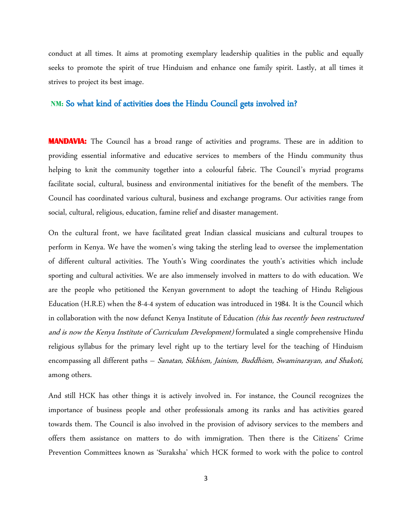conduct at all times. It aims at promoting exemplary leadership qualities in the public and equally seeks to promote the spirit of true Hinduism and enhance one family spirit. Lastly, at all times it strives to project its best image.

## **NM:** So what kind of activities does the Hindu Council gets involved in?

**MANDAVIA:** The Council has a broad range of activities and programs. These are in addition to providing essential informative and educative services to members of the Hindu community thus helping to knit the community together into a colourful fabric. The Council's myriad programs facilitate social, cultural, business and environmental initiatives for the benefit of the members. The Council has coordinated various cultural, business and exchange programs. Our activities range from social, cultural, religious, education, famine relief and disaster management.

On the cultural front, we have facilitated great Indian classical musicians and cultural troupes to perform in Kenya. We have the women's wing taking the sterling lead to oversee the implementation of different cultural activities. The Youth's Wing coordinates the youth's activities which include sporting and cultural activities. We are also immensely involved in matters to do with education. We are the people who petitioned the Kenyan government to adopt the teaching of Hindu Religious Education (H.R.E) when the 8-4-4 system of education was introduced in 1984. It is the Council which in collaboration with the now defunct Kenya Institute of Education *(this has recently been restructured* and is now the Kenya Institute of Curriculum Development) formulated a single comprehensive Hindu religious syllabus for the primary level right up to the tertiary level for the teaching of Hinduism encompassing all different paths – Sanatan, Sikhism, Jainism, Buddhism, Swaminarayan, and Shakoti, among others.

And still HCK has other things it is actively involved in. For instance, the Council recognizes the importance of business people and other professionals among its ranks and has activities geared towards them. The Council is also involved in the provision of advisory services to the members and offers them assistance on matters to do with immigration. Then there is the Citizens' Crime Prevention Committees known as 'Suraksha' which HCK formed to work with the police to control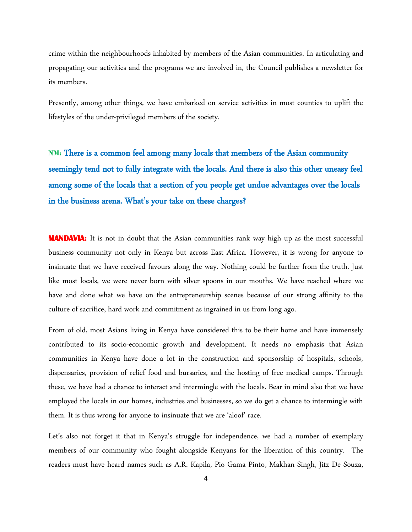crime within the neighbourhoods inhabited by members of the Asian communities. In articulating and propagating our activities and the programs we are involved in, the Council publishes a newsletter for its members.

Presently, among other things, we have embarked on service activities in most counties to uplift the lifestyles of the under-privileged members of the society.

**NM:** There is a common feel among many locals that members of the Asian community seemingly tend not to fully integrate with the locals. And there is also this other uneasy feel among some of the locals that a section of you people get undue advantages over the locals in the business arena. What's your take on these charges?

**MANDAVIA:** It is not in doubt that the Asian communities rank way high up as the most successful business community not only in Kenya but across East Africa. However, it is wrong for anyone to insinuate that we have received favours along the way. Nothing could be further from the truth. Just like most locals, we were never born with silver spoons in our mouths. We have reached where we have and done what we have on the entrepreneurship scenes because of our strong affinity to the culture of sacrifice, hard work and commitment as ingrained in us from long ago.

From of old, most Asians living in Kenya have considered this to be their home and have immensely contributed to its socio-economic growth and development. It needs no emphasis that Asian communities in Kenya have done a lot in the construction and sponsorship of hospitals, schools, dispensaries, provision of relief food and bursaries, and the hosting of free medical camps. Through these, we have had a chance to interact and intermingle with the locals. Bear in mind also that we have employed the locals in our homes, industries and businesses, so we do get a chance to intermingle with them. It is thus wrong for anyone to insinuate that we are 'aloof' race.

Let's also not forget it that in Kenya's struggle for independence, we had a number of exemplary members of our community who fought alongside Kenyans for the liberation of this country. The readers must have heard names such as A.R. Kapila, Pio Gama Pinto, Makhan Singh, Jitz De Souza,